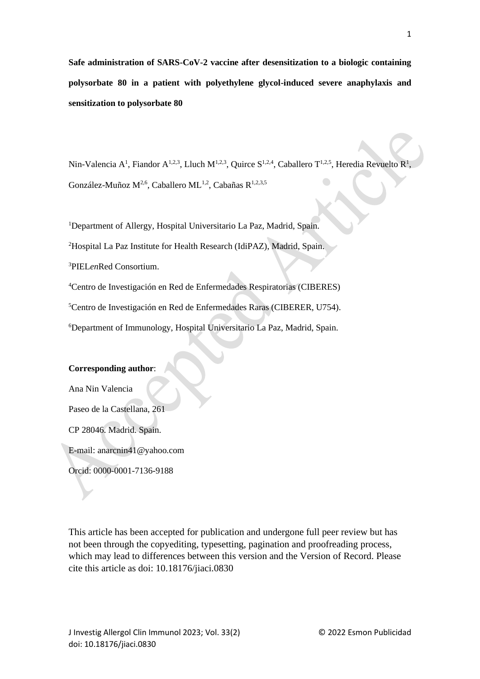**Safe administration of SARS-CoV-2 vaccine after desensitization to a biologic containing polysorbate 80 in a patient with polyethylene glycol-induced severe anaphylaxis and sensitization to polysorbate 80**

Nin-Valencia A<sup>1</sup>, Fiandor A<sup>1,2,3</sup>, Lluch M<sup>1,2,3</sup>, Quirce S<sup>1,2,4</sup>, Caballero T<sup>1,2,5</sup>, Heredia Revuelto R<sup>1</sup>, González-Muñoz M<sup>2,6</sup>, Caballero ML<sup>1,2</sup>, Cabañas R<sup>1,2,3,5</sup>

<sup>1</sup>Department of Allergy, Hospital Universitario La Paz, Madrid, Spain.

<sup>2</sup>Hospital La Paz Institute for Health Research (IdiPAZ), Madrid, Spain.

<sup>3</sup>PIEL*en*Red Consortium.

<sup>4</sup>Centro de Investigación en Red de Enfermedades Respiratorias (CIBERES)

<sup>5</sup>Centro de Investigación en Red de Enfermedades Raras (CIBERER, U754).

<sup>6</sup>Department of Immunology, Hospital Universitario La Paz, Madrid, Spain.

## **Corresponding author**:

Ana Nin Valencia Paseo de la Castellana, 261 CP 28046. Madrid. Spain. E-mail: anarcnin41@yahoo.com

Orcid: 0000-0001-7136-9188

This article has been accepted for publication and undergone full peer review but has not been through the copyediting, typesetting, pagination and proofreading process, which may lead to differences between this version and the Version of Record. Please cite this article as doi: 10.18176/jiaci.0830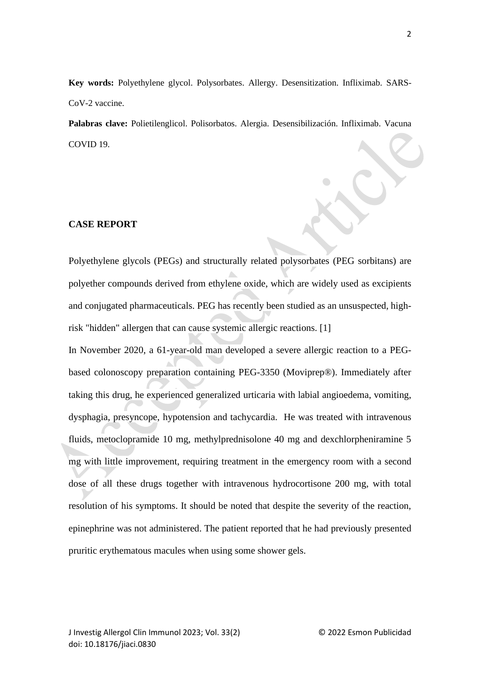**Key words:** Polyethylene glycol. Polysorbates. Allergy. Desensitization. Infliximab. SARS-CoV-2 vaccine.

**Palabras clave:** Polietilenglicol. Polisorbatos. Alergia. Desensibilización. Infliximab. Vacuna COVID 19.

## **CASE REPORT**

Polyethylene glycols (PEGs) and structurally related polysorbates (PEG sorbitans) are polyether compounds derived from ethylene oxide, which are widely used as excipients and conjugated pharmaceuticals. PEG has recently been studied as an unsuspected, highrisk "hidden" allergen that can cause systemic allergic reactions. [1]

In November 2020, a 61-year-old man developed a severe allergic reaction to a PEGbased colonoscopy preparation containing PEG-3350 (Moviprep®). Immediately after taking this drug, he experienced generalized urticaria with labial angioedema, vomiting, dysphagia, presyncope, hypotension and tachycardia. He was treated with intravenous fluids, metoclopramide 10 mg, methylprednisolone 40 mg and dexchlorpheniramine 5 mg with little improvement, requiring treatment in the emergency room with a second dose of all these drugs together with intravenous hydrocortisone 200 mg, with total resolution of his symptoms. It should be noted that despite the severity of the reaction, epinephrine was not administered. The patient reported that he had previously presented pruritic erythematous macules when using some shower gels.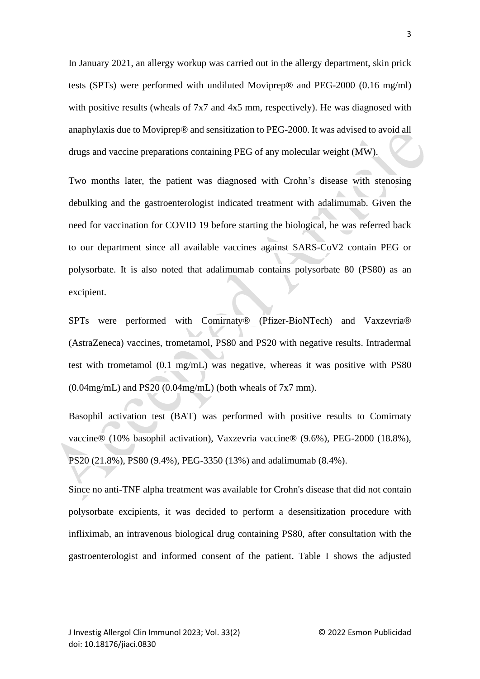In January 2021, an allergy workup was carried out in the allergy department, skin prick tests (SPTs) were performed with undiluted Moviprep® and PEG-2000 (0.16 mg/ml) with positive results (wheals of 7x7 and 4x5 mm, respectively). He was diagnosed with anaphylaxis due to Moviprep® and sensitization to PEG-2000. It was advised to avoid all drugs and vaccine preparations containing PEG of any molecular weight (MW).

Two months later, the patient was diagnosed with Crohn's disease with stenosing debulking and the gastroenterologist indicated treatment with adalimumab. Given the need for vaccination for COVID 19 before starting the biological, he was referred back to our department since all available vaccines against SARS-CoV2 contain PEG or polysorbate. It is also noted that adalimumab contains polysorbate 80 (PS80) as an excipient.

SPTs were performed with Comirnaty® (Pfizer-BioNTech) and Vaxzevria® (AstraZeneca) vaccines, trometamol, PS80 and PS20 with negative results. Intradermal test with trometamol (0.1 mg/mL) was negative, whereas it was positive with PS80  $(0.04 \text{mg/mL})$  and PS20  $(0.04 \text{mg/mL})$  (both wheals of 7x7 mm).

Basophil activation test (BAT) was performed with positive results to Comirnaty vaccine® (10% basophil activation), Vaxzevria vaccine® (9.6%), PEG-2000 (18.8%), PS20 (21.8%), PS80 (9.4%), PEG-3350 (13%) and adalimumab (8.4%).

Since no anti-TNF alpha treatment was available for Crohn's disease that did not contain polysorbate excipients, it was decided to perform a desensitization procedure with infliximab, an intravenous biological drug containing PS80, after consultation with the gastroenterologist and informed consent of the patient. Table I shows the adjusted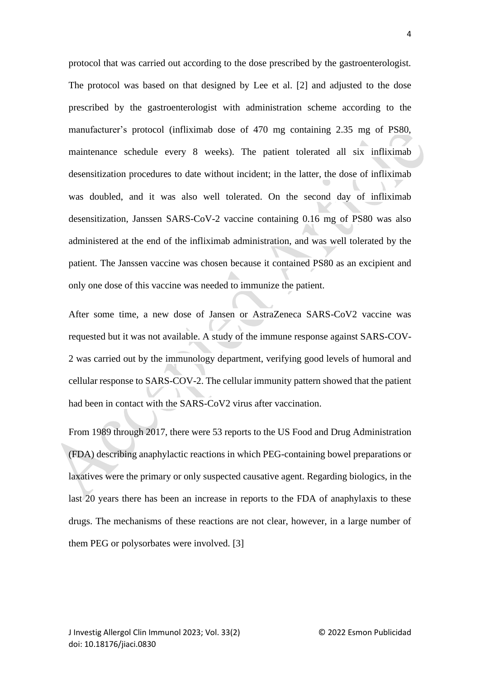protocol that was carried out according to the dose prescribed by the gastroenterologist. The protocol was based on that designed by Lee et al. [2] and adjusted to the dose prescribed by the gastroenterologist with administration scheme according to the manufacturer's protocol (infliximab dose of 470 mg containing 2.35 mg of PS80, maintenance schedule every 8 weeks). The patient tolerated all six infliximab desensitization procedures to date without incident; in the latter, the dose of infliximab was doubled, and it was also well tolerated. On the second day of infliximab desensitization, Janssen SARS-CoV-2 vaccine containing 0.16 mg of PS80 was also administered at the end of the infliximab administration, and was well tolerated by the patient. The Janssen vaccine was chosen because it contained PS80 as an excipient and only one dose of this vaccine was needed to immunize the patient.

After some time, a new dose of Jansen or AstraZeneca SARS-CoV2 vaccine was requested but it was not available. A study of the immune response against SARS-COV-2 was carried out by the immunology department, verifying good levels of humoral and cellular response to SARS-COV-2. The cellular immunity pattern showed that the patient had been in contact with the SARS-CoV2 virus after vaccination.

From 1989 through 2017, there were 53 reports to the US Food and Drug Administration (FDA) describing anaphylactic reactions in which PEG-containing bowel preparations or laxatives were the primary or only suspected causative agent. Regarding biologics, in the last 20 years there has been an increase in reports to the FDA of anaphylaxis to these drugs. The mechanisms of these reactions are not clear, however, in a large number of them PEG or polysorbates were involved. [3]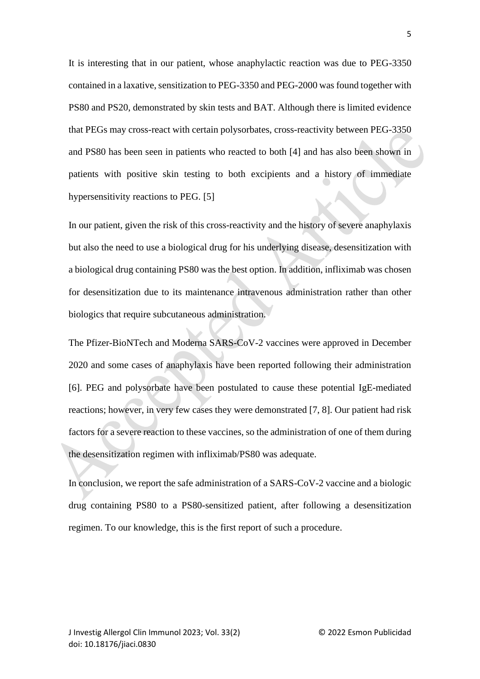It is interesting that in our patient, whose anaphylactic reaction was due to PEG-3350 contained in a laxative, sensitization to PEG-3350 and PEG-2000 was found together with PS80 and PS20, demonstrated by skin tests and BAT. Although there is limited evidence that PEGs may cross-react with certain polysorbates, cross-reactivity between PEG-3350 and PS80 has been seen in patients who reacted to both [4] and has also been shown in patients with positive skin testing to both excipients and a history of immediate hypersensitivity reactions to PEG. [5]

In our patient, given the risk of this cross-reactivity and the history of severe anaphylaxis but also the need to use a biological drug for his underlying disease, desensitization with a biological drug containing PS80 was the best option. In addition, infliximab was chosen for desensitization due to its maintenance intravenous administration rather than other biologics that require subcutaneous administration.

The Pfizer-BioNTech and Moderna SARS-CoV-2 vaccines were approved in December 2020 and some cases of anaphylaxis have been reported following their administration [6]. PEG and polysorbate have been postulated to cause these potential IgE-mediated reactions; however, in very few cases they were demonstrated [7, 8]. Our patient had risk factors for a severe reaction to these vaccines, so the administration of one of them during the desensitization regimen with infliximab/PS80 was adequate.

In conclusion, we report the safe administration of a SARS-CoV-2 vaccine and a biologic drug containing PS80 to a PS80-sensitized patient, after following a desensitization regimen. To our knowledge, this is the first report of such a procedure.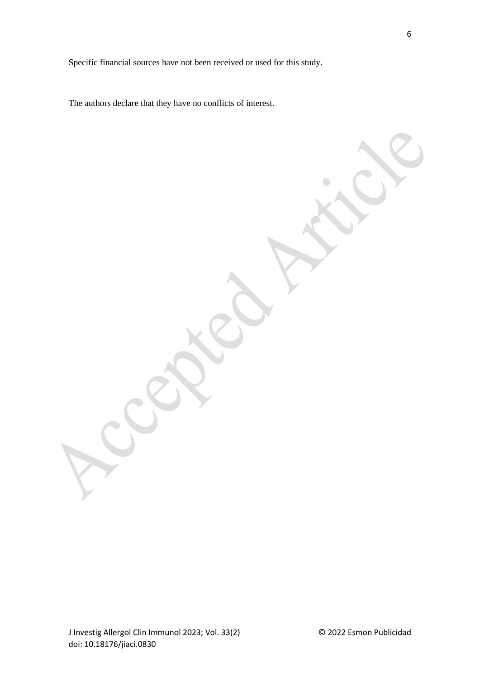Specific financial sources have not been received or used for this study.

The authors declare that they have no conflicts of interest.

J Investig Allergol Clin Immunol 2023; Vol. 33(2) © 2022 Esmon Publicidad doi: 10.18176/jiaci.0830

 $\bigcirc$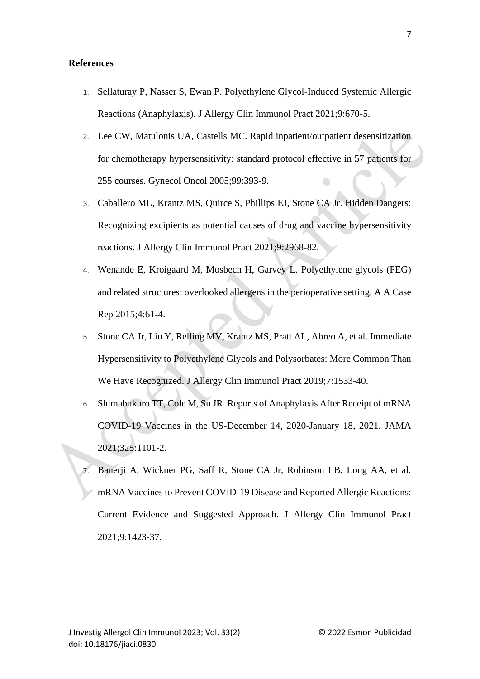## **References**

- 1. Sellaturay P, Nasser S, Ewan P. Polyethylene Glycol-Induced Systemic Allergic Reactions (Anaphylaxis). J Allergy Clin Immunol Pract 2021;9:670-5.
- 2. Lee CW, Matulonis UA, Castells MC. Rapid inpatient/outpatient desensitization for chemotherapy hypersensitivity: standard protocol effective in 57 patients for 255 courses. Gynecol Oncol 2005;99:393-9.
- 3. Caballero ML, Krantz MS, Quirce S, Phillips EJ, Stone CA Jr. Hidden Dangers: Recognizing excipients as potential causes of drug and vaccine hypersensitivity reactions. J Allergy Clin Immunol Pract 2021;9:2968-82.
- 4. Wenande E, Kroigaard M, Mosbech H, Garvey L. Polyethylene glycols (PEG) and related structures: overlooked allergens in the perioperative setting. A A Case Rep 2015;4:61-4.
- 5. Stone CA Jr, Liu Y, Relling MV, Krantz MS, Pratt AL, Abreo A, et al. Immediate Hypersensitivity to Polyethylene Glycols and Polysorbates: More Common Than We Have Recognized. J Allergy Clin Immunol Pract 2019;7:1533-40.
- 6. Shimabukuro TT, Cole M, Su JR. Reports of Anaphylaxis After Receipt of mRNA COVID-19 Vaccines in the US-December 14, 2020-January 18, 2021. JAMA 2021;325:1101-2.
- Banerji A, Wickner PG, Saff R, Stone CA Jr, Robinson LB, Long AA, et al. mRNA Vaccines to Prevent COVID-19 Disease and Reported Allergic Reactions: Current Evidence and Suggested Approach. J Allergy Clin Immunol Pract 2021;9:1423-37.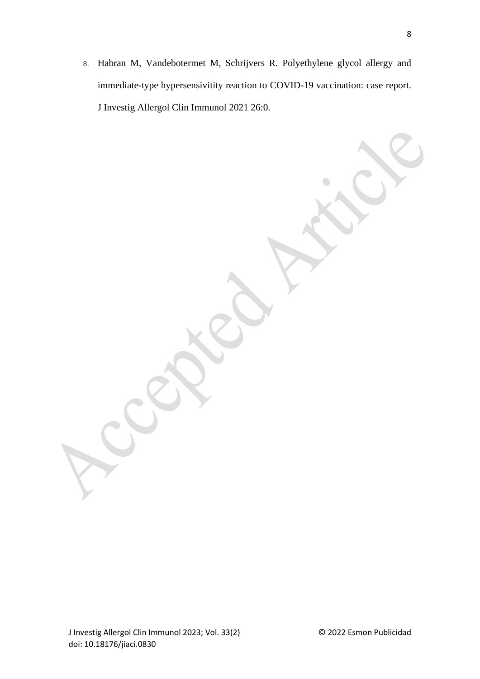8. Habran M, Vandebotermet M, Schrijvers R. Polyethylene glycol allergy and immediate-type hypersensivitity reaction to COVID-19 vaccination: case report. J Investig Allergol Clin Immunol 2021 26:0.